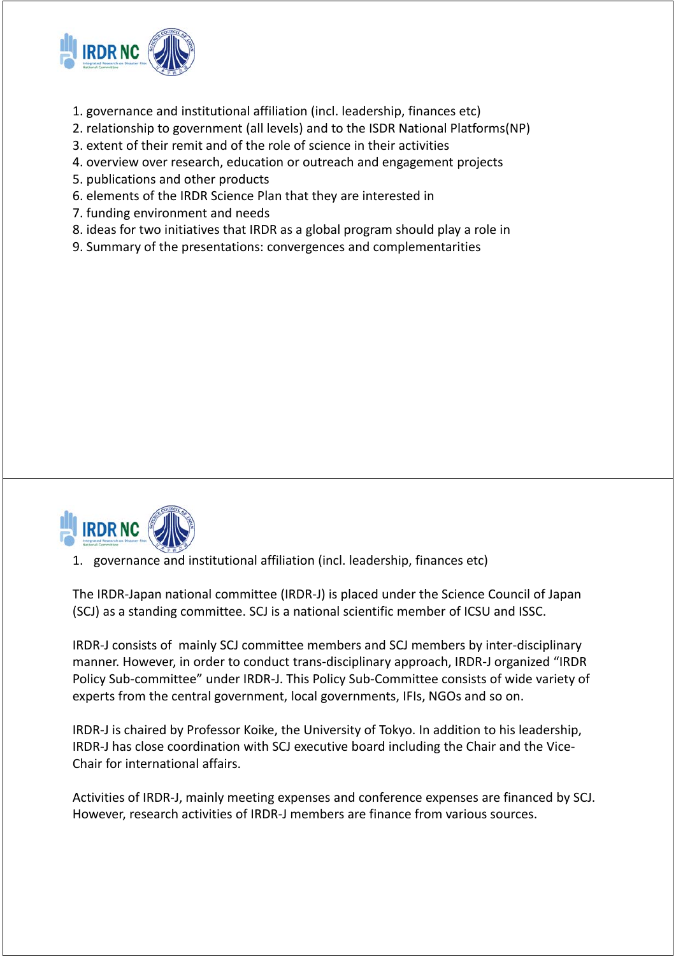

- 1. governance and institutional affiliation (incl. leadership, finances etc)
- 2. relationship to government (all levels) and to the ISDR National Platforms(NP)
- 3. extent of their remit and of the role of science in their activities
- 4. overview over research, education or outreach and engagement projects
- 5. publications and other products
- 6. elements of the IRDR Science Plan that they are interested in
- 7. funding environment and needs
- 8. ideas for two initiatives that IRDR as a global program should play a role in
- 9. Summary of the presentations: convergences and complementarities



#### 1. governance and institutional affiliation (incl. leadership, finances etc)

The IRDR‐Japan national committee (IRDR‐J) is placed under the Science Council of Japan (SCJ) as a standing committee. SCJ is a national scientific member of ICSU and ISSC.

IRDR‐J consists of mainly SCJ committee members and SCJ members by inter‐disciplinary manner. However, in order to conduct trans‐disciplinary approach, IRDR‐J organized "IRDR Policy Sub‐committee" under IRDR‐J. This Policy Sub‐Committee consists of wide variety of experts from the central government, local governments, IFIs, NGOs and so on.

IRDR‐J is chaired by Professor Koike, the University of Tokyo. In addition to his leadership, IRDR‐J has close coordination with SCJ executive board including the Chair and the Vice‐ Chair for international affairs.

Activities of IRDR‐J, mainly meeting expenses and conference expenses are financed by SCJ. However, research activities of IRDR‐J members are finance from various sources.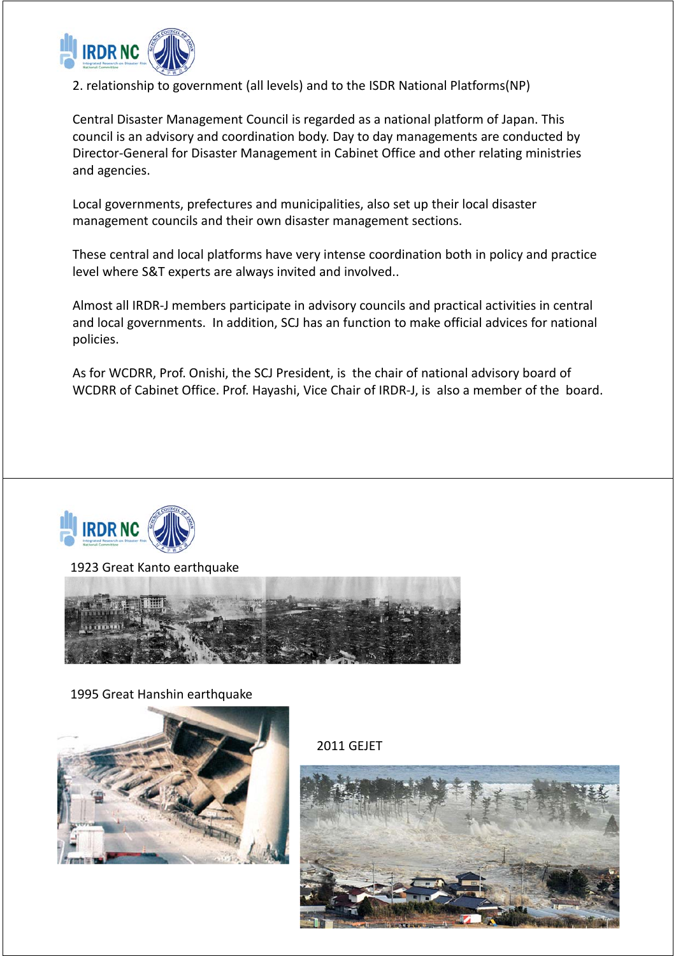

2. relationship to government (all levels) and to the ISDR National Platforms(NP)

Central Disaster Management Council is regarded as a national platform of Japan. This council is an advisory and coordination body. Day to day managements are conducted by Director‐General for Disaster Management in Cabinet Office and other relating ministries and agencies.

Local governments, prefectures and municipalities, also set up their local disaster management councils and their own disaster management sections.

These central and local platforms have very intense coordination both in policy and practice level where S&T experts are always invited and involved..

Almost all IRDR‐J members participate in advisory councils and practical activities in central and local governments. In addition, SCJ has an function to make official advices for national policies.

As for WCDRR, Prof. Onishi, the SCJ President, is the chair of national advisory board of WCDRR of Cabinet Office. Prof. Hayashi, Vice Chair of IRDR‐J, is also a member of the board.



1923 Great Kanto earthquake



1995 Great Hanshin earthquake



2011 GEJET

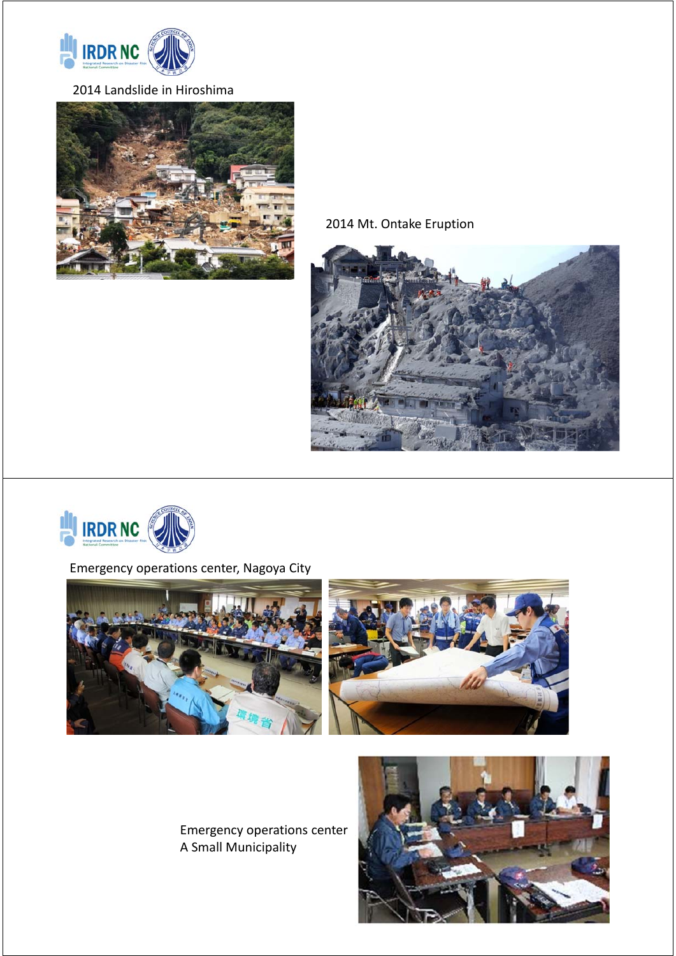

## 2014 Landslide in Hiroshima



2014 Mt. Ontake Eruption





# Emergency operations center, Nagoya City



Emergency operations center A Small Municipality

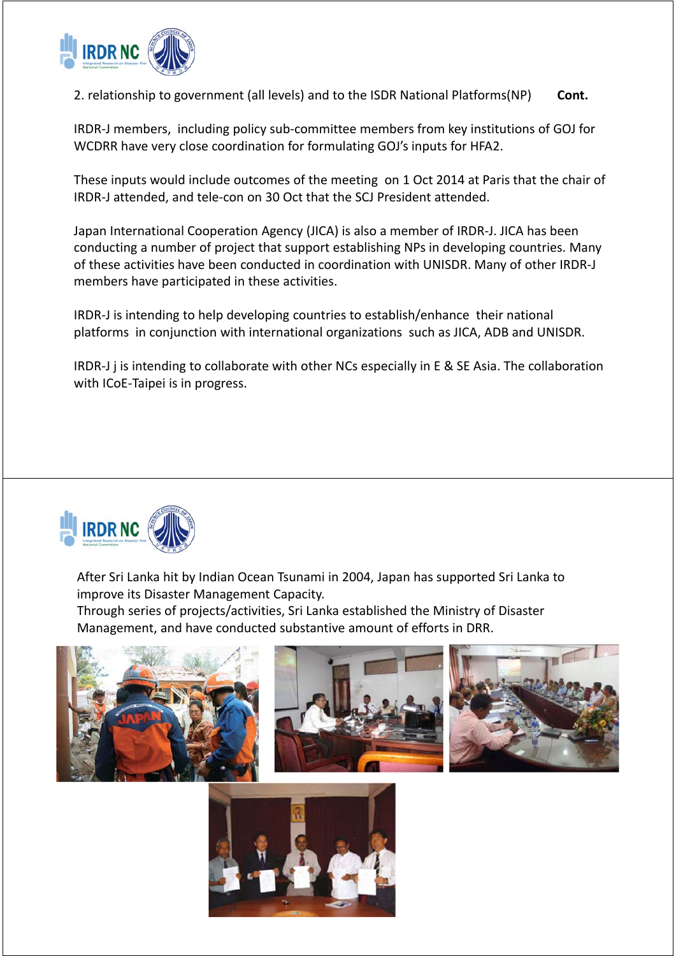

2. relationship to government (all levels) and to the ISDR National Platforms(NP) **Cont.**

IRDR‐J members, including policy sub‐committee members from key institutions of GOJ for WCDRR have very close coordination for formulating GOJ's inputs for HFA2.

These inputs would include outcomes of the meeting on 1 Oct 2014 at Paris that the chair of IRDR‐J attended, and tele‐con on 30 Oct that the SCJ President attended.

Japan International Cooperation Agency (JICA) is also a member of IRDR‐J. JICA has been conducting a number of project that support establishing NPs in developing countries. Many of these activities have been conducted in coordination with UNISDR. Many of other IRDR‐J members have participated in these activities.

IRDR‐J is intending to help developing countries to establish/enhance their national platforms in conjunction with international organizations such as JICA, ADB and UNISDR.

IRDR‐J j is intending to collaborate with other NCs especially in E & SE Asia. The collaboration with ICoE-Taipei is in progress.



After Sri Lanka hit by Indian Ocean Tsunami in 2004, Japan has supported Sri Lanka to improve its Disaster Management Capacity. Through series of projects/activities, Sri Lanka established the Ministry of Disaster Management, and have conducted substantive amount of efforts in DRR.



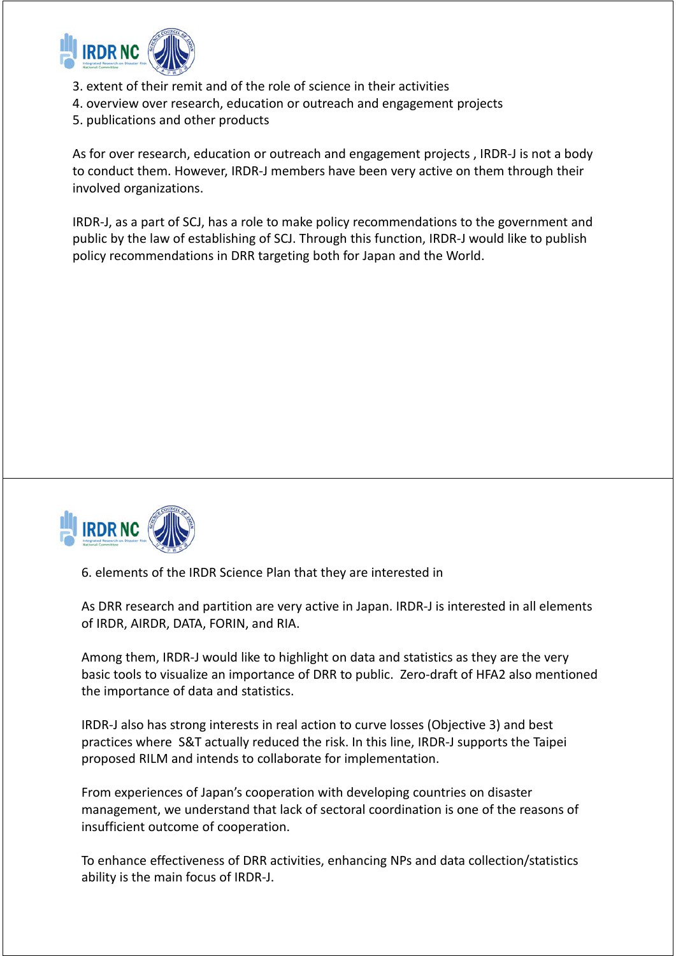

- 3. extent of their remit and of the role of science in their activities
- 4. overview over research, education or outreach and engagement projects
- 5. publications and other products

As for over research, education or outreach and engagement projects , IRDR‐J is not a body to conduct them. However, IRDR‐J members have been very active on them through their involved organizations.

IRDR‐J, as a part of SCJ, has a role to make policy recommendations to the government and public by the law of establishing of SCJ. Through this function, IRDR‐J would like to publish policy recommendations in DRR targeting both for Japan and the World.



6. elements of the IRDR Science Plan that they are interested in

As DRR research and partition are very active in Japan. IRDR-J is interested in all elements of IRDR, AIRDR, DATA, FORIN, and RIA.

Among them, IRDR‐J would like to highlight on data and statistics as they are the very basic tools to visualize an importance of DRR to public. Zero‐draft of HFA2 also mentioned the importance of data and statistics.

IRDR‐J also has strong interests in real action to curve losses (Objective 3) and best practices where S&T actually reduced the risk. In this line, IRDR‐J supports the Taipei proposed RILM and intends to collaborate for implementation.

From experiences of Japan's cooperation with developing countries on disaster management, we understand that lack of sectoral coordination is one of the reasons of insufficient outcome of cooperation.

To enhance effectiveness of DRR activities, enhancing NPs and data collection/statistics ability is the main focus of IRDR‐J.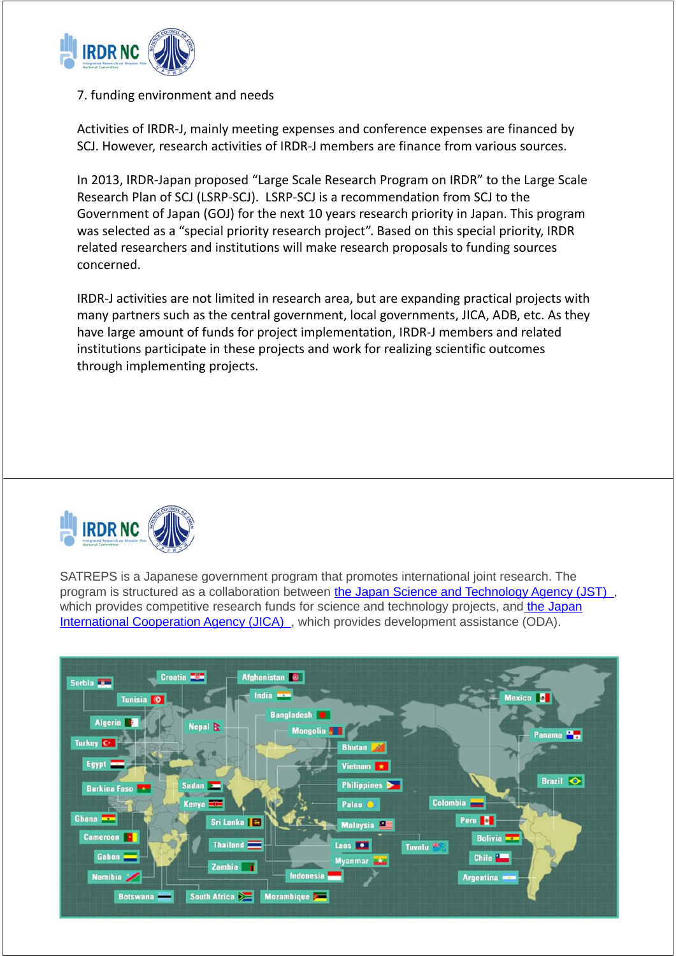

#### 7. funding environment and needs

Activities of IRDR‐J, mainly meeting expenses and conference expenses are financed by SCJ. However, research activities of IRDR‐J members are finance from various sources.

In 2013, IRDR‐Japan proposed "Large Scale Research Program on IRDR" to the Large Scale Research Plan of SCJ (LSRP‐SCJ). LSRP‐SCJ is a recommendation from SCJ to the Government of Japan (GOJ) for the next 10 years research priority in Japan. This program was selected as a "special priority research project". Based on this special priority, IRDR related researchers and institutions will make research proposals to funding sources concerned.

IRDR‐J activities are not limited in research area, but are expanding practical projects with many partners such as the central government, local governments, JICA, ADB, etc. As they have large amount of funds for project implementation, IRDR‐J members and related institutions participate in these projects and work for realizing scientific outcomes through implementing projects.



SATREPS is a Japanese government program that promotes international joint research. The program is structured as a collaboration between the Japan Science and Technology Agency (JST) , which provides competitive research funds for science and technology projects, and the Japan International Cooperation Agency (JICA), which provides development assistance (ODA).

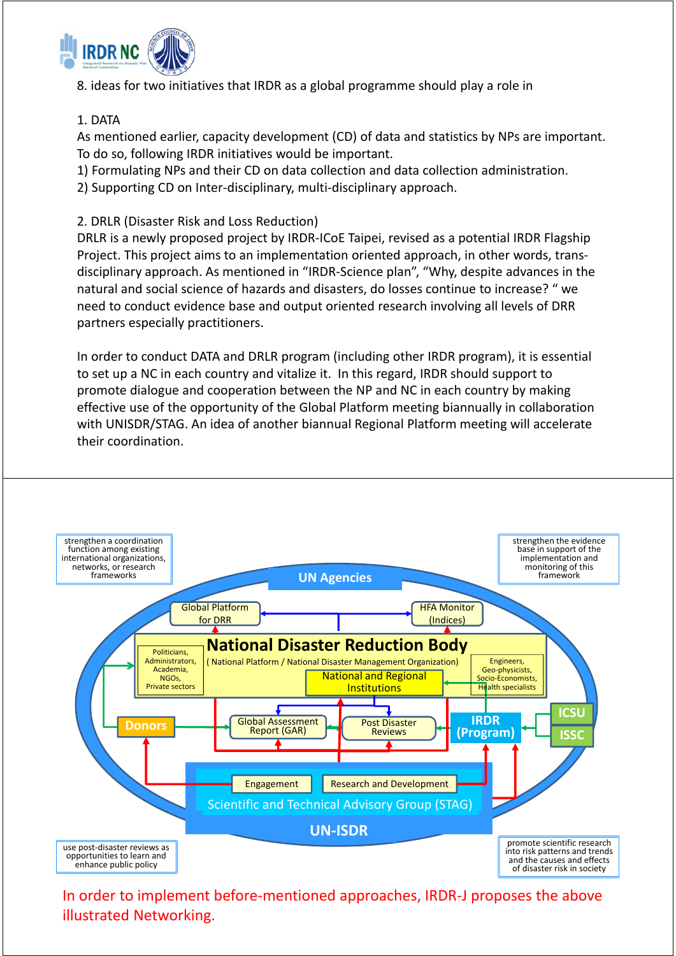

8. ideas for two initiatives that IRDR as a global programme should play a role in

### 1. DATA

As mentioned earlier, capacity development (CD) of data and statistics by NPs are important. To do so, following IRDR initiatives would be important.

1) Formulating NPs and their CD on data collection and data collection administration.

2) Supporting CD on Inter-disciplinary, multi-disciplinary approach.

## 2. DRLR (Disaster Risk and Loss Reduction)

DRLR is a newly proposed project by IRDR‐ICoE Taipei, revised as a potential IRDR Flagship Project. This project aims to an implementation oriented approach, in other words, trans‐ disciplinary approach. As mentioned in "IRDR‐Science plan", "Why, despite advances in the natural and social science of hazards and disasters, do losses continue to increase? " we need to conduct evidence base and output oriented research involving all levels of DRR partners especially practitioners.

In order to conduct DATA and DRLR program (including other IRDR program), it is essential to set up a NC in each country and vitalize it. In this regard, IRDR should support to promote dialogue and cooperation between the NP and NC in each country by making effective use of the opportunity of the Global Platform meeting biannually in collaboration with UNISDR/STAG. An idea of another biannual Regional Platform meeting will accelerate their coordination.



In order to implement before‐mentioned approaches, IRDR‐J proposes the above illustrated Networking.